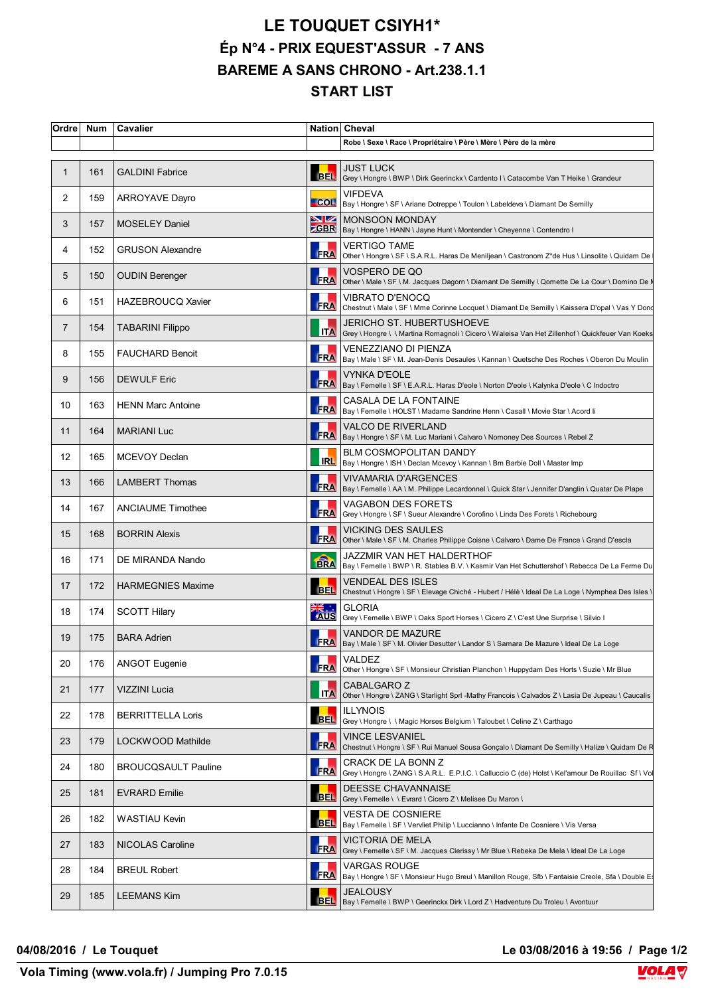## **LE TOUQUET CSIYH1\* Ép N°4 - PRIX EQUEST'ASSUR - 7 ANS BAREME A SANS CHRONO - Art.238.1.1 START LIST**

| Ordre             | <b>Num</b> | Cavalier                   |                       | Nation Cheval                                                                                                                |
|-------------------|------------|----------------------------|-----------------------|------------------------------------------------------------------------------------------------------------------------------|
|                   |            |                            |                       | Robe \ Sexe \ Race \ Propriétaire \ Père \ Mère \ Père de la mère                                                            |
| $\mathbf 1$       | 161        | <b>GALDINI Fabrice</b>     | <b>BEL</b>            | <b>JUST LUCK</b><br>Grey \ Hongre \ BWP \ Dirk Geerinckx \ Cardento I \ Catacombe Van T Heike \ Grandeur                     |
| 2                 | 159        | <b>ARROYAVE Dayro</b>      |                       | <b>VIFDEVA</b><br>├─ COL│ Bay \ Hongre \ SF \ Ariane Dotreppe \ Toulon \ Labeldeva \ Diamant De Semilly                      |
| 3                 | 157        | <b>MOSELEY Daniel</b>      | $\blacktriangleright$ | <b>MONSOON MONDAY</b><br>SBR   Bay \ Hongre \ HANN \ Jayne Hunt \ Montender \ Cheyenne \ Contendro I                         |
| 4                 | 152        | <b>GRUSON Alexandre</b>    | <b>FRA</b>            | VERTIGO TAME<br>Other \ Hongre \ SF \ S.A.R.L. Haras De Meniljean \ Castronom Z*de Hus \ Linsolite \ Quidam De               |
| 5                 | 150        | <b>OUDIN Berenger</b>      | FRA                   | VOSPERO DE QO<br>Other \ Male \ SF \ M. Jacques Dagorn \ Diamant De Semilly \ Qomette De La Cour \ Domino De N               |
| 6                 | 151        | <b>HAZEBROUCQ Xavier</b>   | <b>FRA</b>            | VIBRATO D'ENOCQ<br>Chestnut \ Male \ SF \ Mme Corinne Locquet \ Diamant De Semilly \ Kaissera D'opal \ Vas Y Dond            |
| 7                 | 154        | <b>TABARINI Filippo</b>    | <b>ITA</b>            | JERICHO ST. HUBERTUSHOEVE<br>Grey \ Hongre \ \ Martina Romagnoli \ Cicero \ Waleisa Van Het Zillenhof \ Quickfeuer Van Koeks |
| 8                 | 155        | <b>FAUCHARD Benoit</b>     |                       | VENEZZIANO DI PIENZA<br>FRA  Bay \ Male \ SF \ M. Jean-Denis Desaules \ Kannan \ Quetsche Des Roches \ Oberon Du Moulin      |
| 9                 | 156        | <b>DEWULF Eric</b>         | <b>FRA</b>            | <b>VYNKA D'EOLE</b><br>Bay \ Femelle \ SF \ E.A.R.L. Haras D'eole \ Norton D'eole \ Kalynka D'eole \ C Indoctro              |
| 10                | 163        | <b>HENN Marc Antoine</b>   | FRA                   | CASALA DE LA FONTAINE<br>Bay \ Femelle \ HOLST \ Madame Sandrine Henn \ Casall \ Movie Star \ Acord li                       |
| 11                | 164        | <b>MARIANI Luc</b>         |                       | <b>VALCO DE RIVERLAND</b><br>FRA   Bay \ Hongre \ SF \ M. Luc Mariani \ Calvaro \ Nomoney Des Sources \ Rebel Z              |
| $12 \overline{ }$ | 165        | MCEVOY Declan              | <b>IRL</b>            | <b>BLM COSMOPOLITAN DANDY</b><br>Bay \ Hongre \ ISH \ Declan Mcevoy \ Kannan \ Bm Barbie Doll \ Master Imp                   |
| 13                | 166        | <b>LAMBERT Thomas</b>      | <b>FRA</b>            | VIVAMARIA D'ARGENCES<br>Bay \ Femelle \ AA \ M. Philippe Lecardonnel \ Quick Star \ Jennifer D'anglin \ Quatar De Plape      |
| 14                | 167        | <b>ANCIAUME Timothee</b>   |                       | VAGABON DES FORETS<br>FRA Grey \ Hongre \ SF \ Sueur Alexandre \ Corofino \ Linda Des Forets \ Richebourg                    |
| 15                | 168        | <b>BORRIN Alexis</b>       | <b>FRA</b>            | <b>VICKING DES SAULES</b><br>Other \ Male \ SF \ M. Charles Philippe Coisne \ Calvaro \ Dame De France \ Grand D'escla       |
| 16                | 171        | DE MIRANDA Nando           | <b>FRA</b>            | JAZZMIR VAN HET HALDERTHOF<br>Bay \ Femelle \ BWP \ R. Stables B.V. \ Kasmir Van Het Schuttershof \ Rebecca De La Ferme Du   |
| 17                | 172        | <b>HARMEGNIES Maxime</b>   | <b>BEL</b>            | <b>VENDEAL DES ISLES</b><br>Chestnut \ Hongre \ SF \ Elevage Chiché - Hubert / Hélè \ Ideal De La Loge \ Nymphea Des Isles \ |
| 18                | 174        | <b>SCOTT Hilary</b>        | AUS                   | <b>GLORIA</b><br>Grey \ Femelle \ BWP \ Oaks Sport Horses \ Cicero Z \ C'est Une Surprise \ Silvio I                         |
| 19                | 175        | <b>BARA Adrien</b>         |                       | VANDOR DE MAZURE<br>FRA  Bay \ Male \ SF \ M. Olivier Desutter \ Landor S \ Samara De Mazure \ Ideal De La Loge              |
| 20                | 176        | <b>ANGOT Eugenie</b>       | <b>FRA</b>            | VALDEZ<br>Other \ Hongre \ SF \ Monsieur Christian Planchon \ Huppydam Des Horts \ Suzie \ Mr Blue                           |
| 21                | 177        | VIZZINI Lucia              | <b>ITA</b>            | CABALGARO Z<br>Other \ Hongre \ ZANG \ Starlight Sprl -Mathy Francois \ Calvados Z \ Lasia De Jupeau \ Caucalis              |
| 22                | 178        | <b>BERRITTELLA Loris</b>   | <b>BEL</b>            | <b>ILLYNOIS</b><br>Grey \ Hongre \ \ Magic Horses Belgium \ Taloubet \ Celine Z \ Carthago                                   |
| 23                | 179        | LOCKWOOD Mathilde          | <b>FRA</b>            | VINCE LESVANIEL<br>Chestnut \ Hongre \ SF \ Rui Manuel Sousa Gonçalo \ Diamant De Semilly \ Halize \ Quidam De R             |
| 24                | 180        | <b>BROUCQSAULT Pauline</b> | <b>FRA</b>            | CRACK DE LA BONN Z<br>Grey \ Hongre \ ZANG \ S.A.R.L. E.P.I.C. \ Calluccio C (de) Holst \ Kel'amour De Rouillac Sf \ Vo      |
| 25                | 181        | <b>EVRARD Emilie</b>       | <b>BEL</b>            | <b>DEESSE CHAVANNAISE</b><br>Grey \ Femelle \ \ Evrard \ Cicero Z \ Melisee Du Maron \                                       |
| 26                | 182        | WASTIAU Kevin              | <b>BEL</b>            | VESTA DE COSNIERE<br>Bay \ Femelle \ SF \ Vervliet Philip \ Luccianno \ Infante De Cosniere \ Vis Versa                      |
| 27                | 183        | NICOLAS Caroline           | <b>FRA</b>            | VICTORIA DE MELA<br>Grey \ Femelle \ SF \ M. Jacques Clerissy \ Mr Blue \ Rebeka De Mela \ Ideal De La Loge                  |
| 28                | 184        | <b>BREUL Robert</b>        |                       | VARGAS ROUGE<br>FRA   Bay \ Hongre \ SF \ Monsieur Hugo Breul \ Manillon Rouge, Sfb \ Fantaisie Creole, Sfa \ Double Es      |
| 29                | 185        | <b>LEEMANS Kim</b>         | <b>BELI</b>           | JEALOUSY<br>Bay \ Femelle \ BWP \ Geerinckx Dirk \ Lord Z \ Hadventure Du Troleu \ Avontuur                                  |

**04/08/2016 / Le Touquet Le 03/08/2016 à 19:56 / Page 1/2**